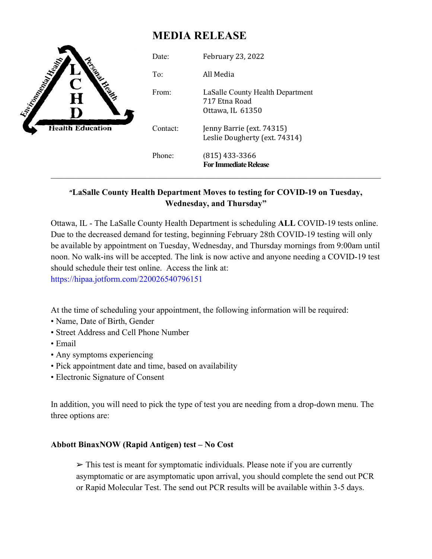# **MEDIA RELEASE**

| <b>Contract Property Report</b><br>Н<br><b>Health Education</b> | Date:    | <b>February 23, 2022</b>                                              |
|-----------------------------------------------------------------|----------|-----------------------------------------------------------------------|
|                                                                 | To:      | All Media                                                             |
|                                                                 | From:    | LaSalle County Health Department<br>717 Etna Road<br>Ottawa, IL 61350 |
|                                                                 | Contact: | Jenny Barrie (ext. 74315)<br>Leslie Dougherty (ext. 74314)            |
|                                                                 | Phone:   | $(815)$ 433-3366<br><b>For Immediate Release</b>                      |

## **"LaSalle County Health Department Moves to testing for COVID-19 on Tuesday, Wednesday, and Thursday"**

Ottawa, IL - The LaSalle County Health Department is scheduling **ALL** COVID-19 tests online. Due to the decreased demand for testing, beginning February 28th COVID-19 testing will only be available by appointment on Tuesday, Wednesday, and Thursday mornings from 9:00am until noon. No walk-ins will be accepted. The link is now active and anyone needing a COVID-19 test should schedule their test online. Access the link at:

https://hipaa.jotform.com/220026540796151

At the time of scheduling your appointment, the following information will be required:

- Name, Date of Birth, Gender
- Street Address and Cell Phone Number
- Email
- Any symptoms experiencing
- Pick appointment date and time, based on availability
- Electronic Signature of Consent

In addition, you will need to pick the type of test you are needing from a drop-down menu. The three options are:

### **Abbott BinaxNOW (Rapid Antigen) test – No Cost**

 $\triangleright$  This test is meant for symptomatic individuals. Please note if you are currently asymptomatic or are asymptomatic upon arrival, you should complete the send out PCR or Rapid Molecular Test. The send out PCR results will be available within 3-5 days.